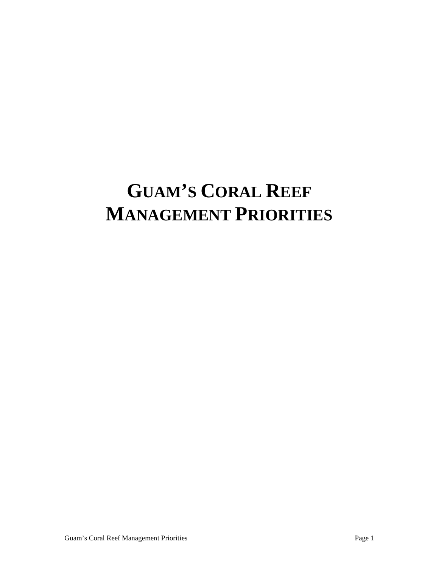# **GUAM'S CORAL REEF MANAGEMENT PRIORITIES**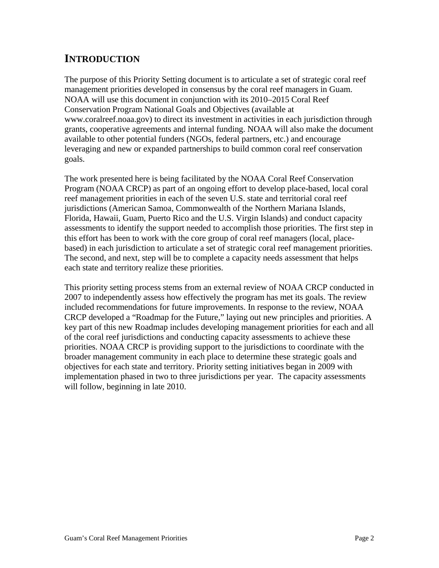# **INTRODUCTION**

The purpose of this Priority Setting document is to articulate a set of strategic coral reef management priorities developed in consensus by the coral reef managers in Guam. NOAA will use this document in conjunction with its 2010–2015 Coral Reef Conservation Program National Goals and Objectives (available at www.coralreef.noaa.gov) to direct its investment in activities in each jurisdiction through grants, cooperative agreements and internal funding. NOAA will also make the document available to other potential funders (NGOs, federal partners, etc.) and encourage leveraging and new or expanded partnerships to build common coral reef conservation goals.

The work presented here is being facilitated by the NOAA Coral Reef Conservation Program (NOAA CRCP) as part of an ongoing effort to develop place-based, local coral reef management priorities in each of the seven U.S. state and territorial coral reef jurisdictions (American Samoa, Commonwealth of the Northern Mariana Islands, Florida, Hawaii, Guam, Puerto Rico and the U.S. Virgin Islands) and conduct capacity assessments to identify the support needed to accomplish those priorities. The first step in this effort has been to work with the core group of coral reef managers (local, placebased) in each jurisdiction to articulate a set of strategic coral reef management priorities. The second, and next, step will be to complete a capacity needs assessment that helps each state and territory realize these priorities.

This priority setting process stems from an external review of NOAA CRCP conducted in 2007 to independently assess how effectively the program has met its goals. The review included recommendations for future improvements. In response to the review, NOAA CRCP developed a "Roadmap for the Future," laying out new principles and priorities. A key part of this new Roadmap includes developing management priorities for each and all of the coral reef jurisdictions and conducting capacity assessments to achieve these priorities. NOAA CRCP is providing support to the jurisdictions to coordinate with the broader management community in each place to determine these strategic goals and objectives for each state and territory. Priority setting initiatives began in 2009 with implementation phased in two to three jurisdictions per year. The capacity assessments will follow, beginning in late 2010.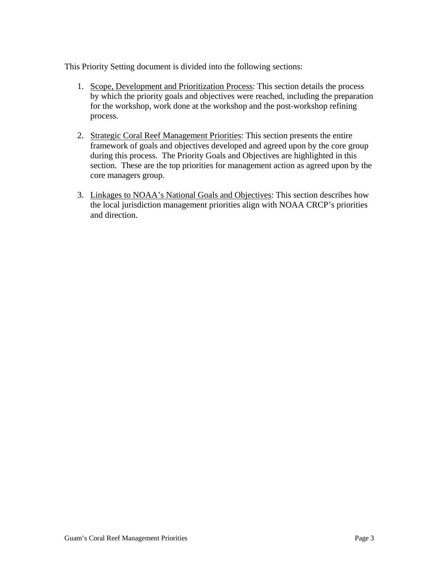This Priority Setting document is divided into the following sections:

- 1. Scope, Development and Prioritization Process: This section details the process by which the priority goals and objectives were reached, including the preparation for the workshop, work done at the workshop and the post-workshop refining process.
- 2. Strategic Coral Reef Management Priorities: This section presents the entire framework of goals and objectives developed and agreed upon by the core group during this process. The Priority Goals and Objectives are highlighted in this section. These are the top priorities for management action as agreed upon by the core managers group.
- 3. Linkages to NOAA's National Goals and Objectives: This section describes how the local jurisdiction management priorities align with NOAA CRCP's priorities and direction.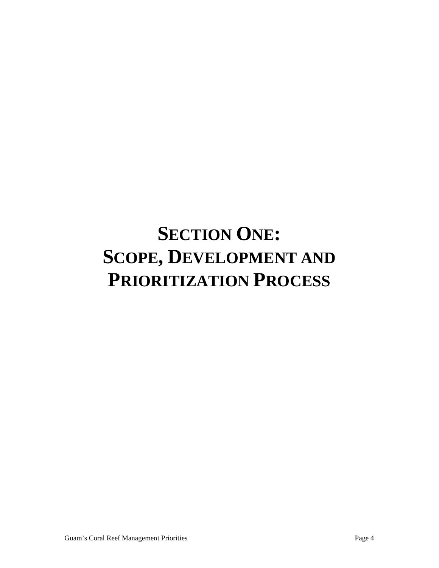# **SECTION ONE: SCOPE, DEVELOPMENT AND PRIORITIZATION PROCESS**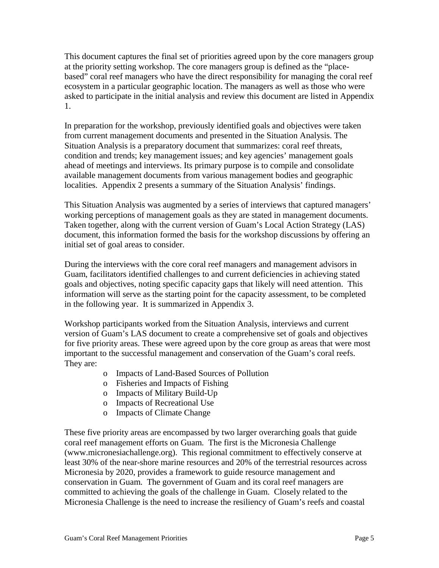This document captures the final set of priorities agreed upon by the core managers group at the priority setting workshop. The core managers group is defined as the "placebased" coral reef managers who have the direct responsibility for managing the coral reef ecosystem in a particular geographic location. The managers as well as those who were asked to participate in the initial analysis and review this document are listed in Appendix 1.

In preparation for the workshop, previously identified goals and objectives were taken from current management documents and presented in the Situation Analysis. The Situation Analysis is a preparatory document that summarizes: coral reef threats, condition and trends; key management issues; and key agencies' management goals ahead of meetings and interviews. Its primary purpose is to compile and consolidate available management documents from various management bodies and geographic localities. Appendix 2 presents a summary of the Situation Analysis' findings.

This Situation Analysis was augmented by a series of interviews that captured managers' working perceptions of management goals as they are stated in management documents. Taken together, along with the current version of Guam's Local Action Strategy (LAS) document, this information formed the basis for the workshop discussions by offering an initial set of goal areas to consider.

During the interviews with the core coral reef managers and management advisors in Guam, facilitators identified challenges to and current deficiencies in achieving stated goals and objectives, noting specific capacity gaps that likely will need attention. This information will serve as the starting point for the capacity assessment, to be completed in the following year. It is summarized in Appendix 3.

Workshop participants worked from the Situation Analysis, interviews and current version of Guam's LAS document to create a comprehensive set of goals and objectives for five priority areas. These were agreed upon by the core group as areas that were most important to the successful management and conservation of the Guam's coral reefs. They are:

- o Impacts of Land-Based Sources of Pollution
- o Fisheries and Impacts of Fishing
- o Impacts of Military Build-Up
- o Impacts of Recreational Use
- o Impacts of Climate Change

These five priority areas are encompassed by two larger overarching goals that guide coral reef management efforts on Guam. The first is the Micronesia Challenge (www.micronesiachallenge.org). This regional commitment to effectively conserve at least 30% of the near-shore marine resources and 20% of the terrestrial resources across Micronesia by 2020, provides a framework to guide resource management and conservation in Guam. The government of Guam and its coral reef managers are committed to achieving the goals of the challenge in Guam. Closely related to the Micronesia Challenge is the need to increase the resiliency of Guam's reefs and coastal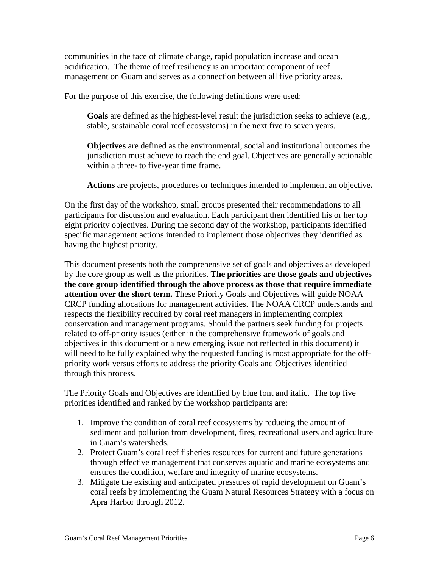communities in the face of climate change, rapid population increase and ocean acidification. The theme of reef resiliency is an important component of reef management on Guam and serves as a connection between all five priority areas.

For the purpose of this exercise, the following definitions were used:

**Goals** are defined as the highest-level result the jurisdiction seeks to achieve (e.g., stable, sustainable coral reef ecosystems) in the next five to seven years.

**Objectives** are defined as the environmental, social and institutional outcomes the jurisdiction must achieve to reach the end goal. Objectives are generally actionable within a three- to five-year time frame.

**Actions** are projects, procedures or techniques intended to implement an objective**.** 

On the first day of the workshop, small groups presented their recommendations to all participants for discussion and evaluation. Each participant then identified his or her top eight priority objectives. During the second day of the workshop, participants identified specific management actions intended to implement those objectives they identified as having the highest priority.

This document presents both the comprehensive set of goals and objectives as developed by the core group as well as the priorities. **The priorities are those goals and objectives the core group identified through the above process as those that require immediate attention over the short term.** These Priority Goals and Objectives will guide NOAA CRCP funding allocations for management activities. The NOAA CRCP understands and respects the flexibility required by coral reef managers in implementing complex conservation and management programs. Should the partners seek funding for projects related to off-priority issues (either in the comprehensive framework of goals and objectives in this document or a new emerging issue not reflected in this document) it will need to be fully explained why the requested funding is most appropriate for the offpriority work versus efforts to address the priority Goals and Objectives identified through this process.

The Priority Goals and Objectives are identified by blue font and italic. The top five priorities identified and ranked by the workshop participants are:

- 1. Improve the condition of coral reef ecosystems by reducing the amount of sediment and pollution from development, fires, recreational users and agriculture in Guam's watersheds.
- 2. Protect Guam's coral reef fisheries resources for current and future generations through effective management that conserves aquatic and marine ecosystems and ensures the condition, welfare and integrity of marine ecosystems.
- 3. Mitigate the existing and anticipated pressures of rapid development on Guam's coral reefs by implementing the Guam Natural Resources Strategy with a focus on Apra Harbor through 2012.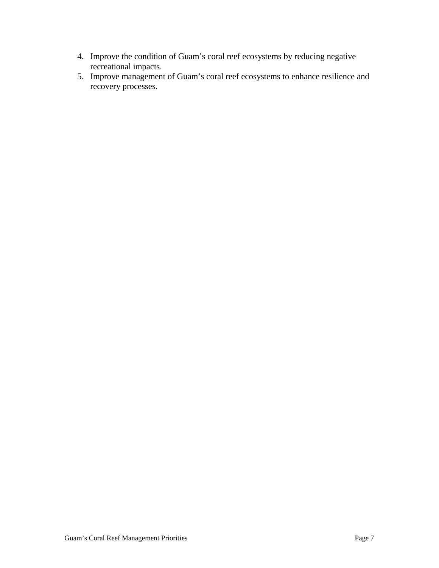- 4. Improve the condition of Guam's coral reef ecosystems by reducing negative recreational impacts.
- 5. Improve management of Guam's coral reef ecosystems to enhance resilience and recovery processes.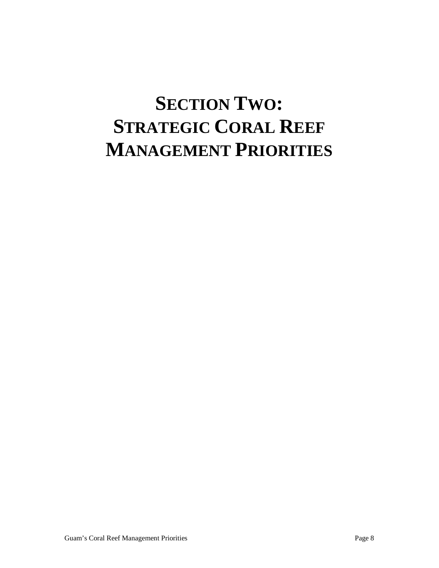# **SECTION TWO: STRATEGIC CORAL REEF MANAGEMENT PRIORITIES**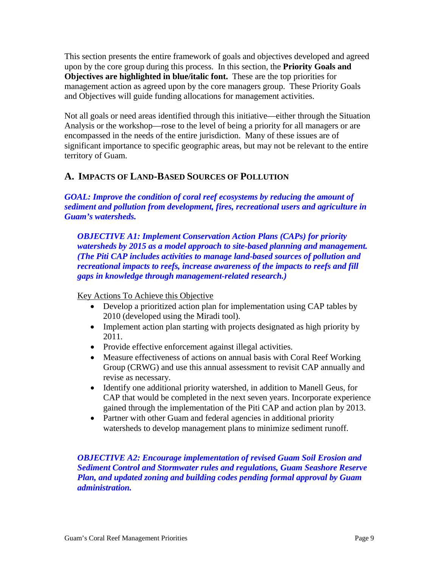This section presents the entire framework of goals and objectives developed and agreed upon by the core group during this process. In this section, the **Priority Goals and Objectives are highlighted in blue/italic font.** These are the top priorities for management action as agreed upon by the core managers group. These Priority Goals and Objectives will guide funding allocations for management activities.

Not all goals or need areas identified through this initiative—either through the Situation Analysis or the workshop—rose to the level of being a priority for all managers or are encompassed in the needs of the entire jurisdiction. Many of these issues are of significant importance to specific geographic areas, but may not be relevant to the entire territory of Guam.

# **A. IMPACTS OF LAND-BASED SOURCES OF POLLUTION**

*GOAL: Improve the condition of coral reef ecosystems by reducing the amount of sediment and pollution from development, fires, recreational users and agriculture in Guam's watersheds.*

*OBJECTIVE A1: Implement Conservation Action Plans (CAPs) for priority watersheds by 2015 as a model approach to site-based planning and management. (The Piti CAP includes activities to manage land-based sources of pollution and recreational impacts to reefs, increase awareness of the impacts to reefs and fill gaps in knowledge through management-related research.)*

Key Actions To Achieve this Objective

- Develop a prioritized action plan for implementation using CAP tables by 2010 (developed using the Miradi tool).
- Implement action plan starting with projects designated as high priority by 2011.
- Provide effective enforcement against illegal activities.
- Measure effectiveness of actions on annual basis with Coral Reef Working Group (CRWG) and use this annual assessment to revisit CAP annually and revise as necessary.
- Identify one additional priority watershed, in addition to Manell Geus, for CAP that would be completed in the next seven years. Incorporate experience gained through the implementation of the Piti CAP and action plan by 2013.
- Partner with other Guam and federal agencies in additional priority watersheds to develop management plans to minimize sediment runoff.

*OBJECTIVE A2: Encourage implementation of revised Guam Soil Erosion and Sediment Control and Stormwater rules and regulations, Guam Seashore Reserve Plan, and updated zoning and building codes pending formal approval by Guam administration.*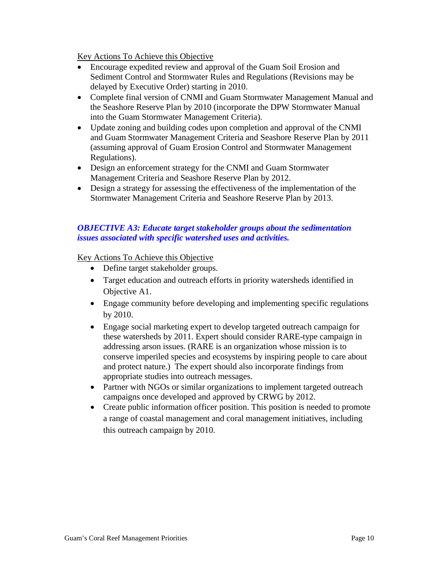Key Actions To Achieve this Objective

- Encourage expedited review and approval of the Guam Soil Erosion and Sediment Control and Stormwater Rules and Regulations (Revisions may be delayed by Executive Order) starting in 2010.
- Complete final version of CNMI and Guam Stormwater Management Manual and the Seashore Reserve Plan by 2010 (incorporate the DPW Stormwater Manual into the Guam Stormwater Management Criteria).
- Update zoning and building codes upon completion and approval of the CNMI and Guam Stormwater Management Criteria and Seashore Reserve Plan by 2011 (assuming approval of Guam Erosion Control and Stormwater Management Regulations).
- Design an enforcement strategy for the CNMI and Guam Stormwater Management Criteria and Seashore Reserve Plan by 2012.
- Design a strategy for assessing the effectiveness of the implementation of the Stormwater Management Criteria and Seashore Reserve Plan by 2013.

### *OBJECTIVE A3: Educate target stakeholder groups about the sedimentation issues associated with specific watershed uses and activities.*

Key Actions To Achieve this Objective

- Define target stakeholder groups.
- Target education and outreach efforts in priority watersheds identified in Objective A1.
- Engage community before developing and implementing specific regulations by 2010.
- Engage social marketing expert to develop targeted outreach campaign for these watersheds by 2011. Expert should consider RARE-type campaign in addressing arson issues. (RARE is an organization whose mission is to conserve imperiled species and ecosystems by inspiring people to care about and protect nature.) The expert should also incorporate findings from appropriate studies into outreach messages.
- Partner with NGOs or similar organizations to implement targeted outreach campaigns once developed and approved by CRWG by 2012.
- Create public information officer position. This position is needed to promote a range of coastal management and coral management initiatives, including this outreach campaign by 2010.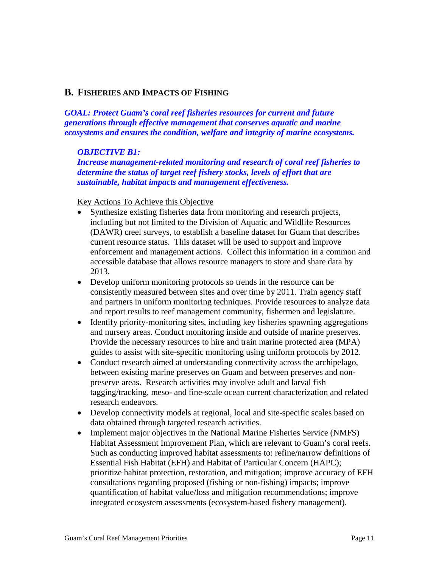### **B. FISHERIES AND IMPACTS OF FISHING**

*GOAL: Protect Guam's coral reef fisheries resources for current and future generations through effective management that conserves aquatic and marine ecosystems and ensures the condition, welfare and integrity of marine ecosystems.*

### *OBJECTIVE B1:*

*Increase management-related monitoring and research of coral reef fisheries to determine the status of target reef fishery stocks, levels of effort that are sustainable, habitat impacts and management effectiveness.*

Key Actions To Achieve this Objective

- Synthesize existing fisheries data from monitoring and research projects, including but not limited to the Division of Aquatic and Wildlife Resources (DAWR) creel surveys, to establish a baseline dataset for Guam that describes current resource status. This dataset will be used to support and improve enforcement and management actions. Collect this information in a common and accessible database that allows resource managers to store and share data by 2013.
- Develop uniform monitoring protocols so trends in the resource can be consistently measured between sites and over time by 2011. Train agency staff and partners in uniform monitoring techniques. Provide resources to analyze data and report results to reef management community, fishermen and legislature.
- Identify priority-monitoring sites, including key fisheries spawning aggregations and nursery areas. Conduct monitoring inside and outside of marine preserves. Provide the necessary resources to hire and train marine protected area (MPA) guides to assist with site-specific monitoring using uniform protocols by 2012.
- Conduct research aimed at understanding connectivity across the archipelago, between existing marine preserves on Guam and between preserves and nonpreserve areas. Research activities may involve adult and larval fish tagging/tracking, meso- and fine-scale ocean current characterization and related research endeavors.
- Develop connectivity models at regional, local and site-specific scales based on data obtained through targeted research activities.
- Implement major objectives in the National Marine Fisheries Service (NMFS) Habitat Assessment Improvement Plan, which are relevant to Guam's coral reefs. Such as conducting improved habitat assessments to: refine/narrow definitions of Essential Fish Habitat (EFH) and Habitat of Particular Concern (HAPC); prioritize habitat protection, restoration, and mitigation; improve accuracy of EFH consultations regarding proposed (fishing or non-fishing) impacts; improve quantification of habitat value/loss and mitigation recommendations; improve integrated ecosystem assessments (ecosystem-based fishery management).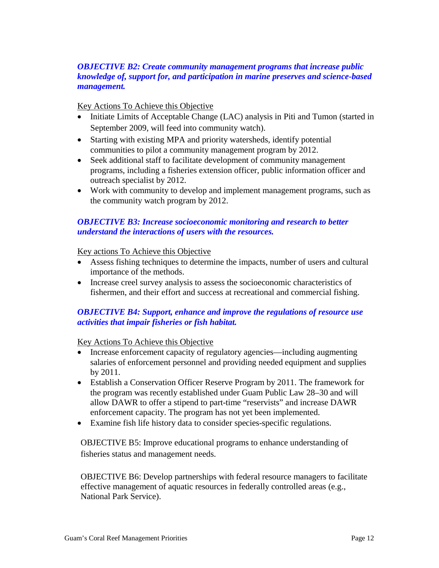### *OBJECTIVE B2: Create community management programs that increase public knowledge of, support for, and participation in marine preserves and science-based management.*

### Key Actions To Achieve this Objective

- Initiate Limits of Acceptable Change (LAC) analysis in Piti and Tumon (started in September 2009, will feed into community watch).
- Starting with existing MPA and priority watersheds, identify potential communities to pilot a community management program by 2012.
- Seek additional staff to facilitate development of community management programs, including a fisheries extension officer, public information officer and outreach specialist by 2012.
- Work with community to develop and implement management programs, such as the community watch program by 2012.

### *OBJECTIVE B3: Increase socioeconomic monitoring and research to better understand the interactions of users with the resources.*

Key actions To Achieve this Objective

- Assess fishing techniques to determine the impacts, number of users and cultural importance of the methods.
- Increase creel survey analysis to assess the socioeconomic characteristics of fishermen, and their effort and success at recreational and commercial fishing.

### *OBJECTIVE B4: Support, enhance and improve the regulations of resource use activities that impair fisheries or fish habitat.*

### Key Actions To Achieve this Objective

- Increase enforcement capacity of regulatory agencies—including augmenting salaries of enforcement personnel and providing needed equipment and supplies by 2011.
- Establish a Conservation Officer Reserve Program by 2011. The framework for the program was recently established under Guam Public Law 28–30 and will allow DAWR to offer a stipend to part-time "reservists" and increase DAWR enforcement capacity. The program has not yet been implemented.
- Examine fish life history data to consider species-specific regulations.

OBJECTIVE B5: Improve educational programs to enhance understanding of fisheries status and management needs.

OBJECTIVE B6: Develop partnerships with federal resource managers to facilitate effective management of aquatic resources in federally controlled areas (e.g., National Park Service).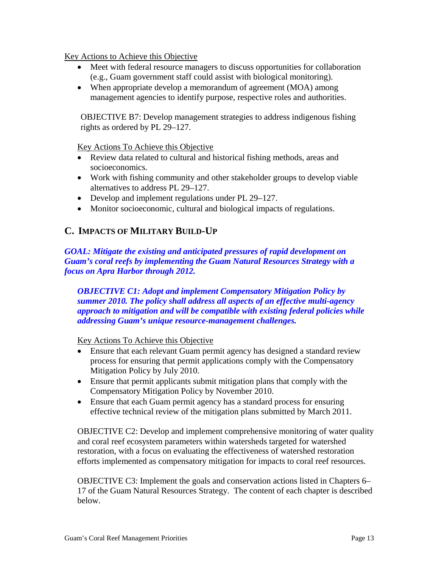Key Actions to Achieve this Objective

- Meet with federal resource managers to discuss opportunities for collaboration (e.g., Guam government staff could assist with biological monitoring).
- When appropriate develop a memorandum of agreement (MOA) among management agencies to identify purpose, respective roles and authorities.

OBJECTIVE B7: Develop management strategies to address indigenous fishing rights as ordered by PL 29–127.

Key Actions To Achieve this Objective

- Review data related to cultural and historical fishing methods, areas and socioeconomics.
- Work with fishing community and other stakeholder groups to develop viable alternatives to address PL 29–127.
- Develop and implement regulations under PL 29–127.
- Monitor socioeconomic, cultural and biological impacts of regulations.

# **C. IMPACTS OF MILITARY BUILD-UP**

*GOAL: Mitigate the existing and anticipated pressures of rapid development on Guam's coral reefs by implementing the Guam Natural Resources Strategy with a focus on Apra Harbor through 2012.*

*OBJECTIVE C1: Adopt and implement Compensatory Mitigation Policy by summer 2010. The policy shall address all aspects of an effective multi-agency approach to mitigation and will be compatible with existing federal policies while addressing Guam's unique resource-management challenges.*

Key Actions To Achieve this Objective

- Ensure that each relevant Guam permit agency has designed a standard review process for ensuring that permit applications comply with the Compensatory Mitigation Policy by July 2010.
- Ensure that permit applicants submit mitigation plans that comply with the Compensatory Mitigation Policy by November 2010.
- Ensure that each Guam permit agency has a standard process for ensuring effective technical review of the mitigation plans submitted by March 2011.

OBJECTIVE C2: Develop and implement comprehensive monitoring of water quality and coral reef ecosystem parameters within watersheds targeted for watershed restoration, with a focus on evaluating the effectiveness of watershed restoration efforts implemented as compensatory mitigation for impacts to coral reef resources.

OBJECTIVE C3: Implement the goals and conservation actions listed in Chapters 6– 17 of the Guam Natural Resources Strategy. The content of each chapter is described below.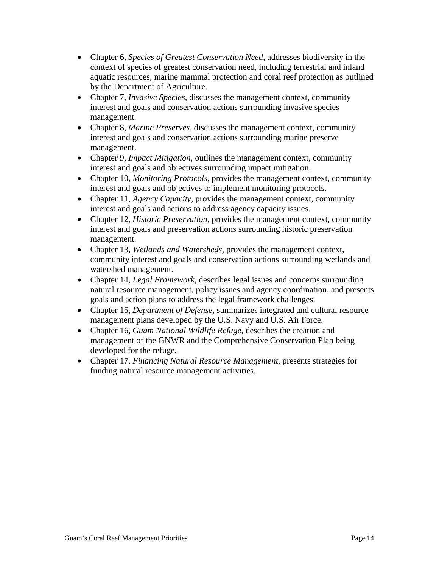- Chapter 6, *Species of Greatest Conservation Need*, addresses biodiversity in the context of species of greatest conservation need, including terrestrial and inland aquatic resources, marine mammal protection and coral reef protection as outlined by the Department of Agriculture.
- Chapter 7, *Invasive Species*, discusses the management context, community interest and goals and conservation actions surrounding invasive species management.
- Chapter 8, *Marine Preserves*, discusses the management context, community interest and goals and conservation actions surrounding marine preserve management.
- Chapter 9, *Impact Mitigation*, outlines the management context, community interest and goals and objectives surrounding impact mitigation.
- Chapter 10, *Monitoring Protocols*, provides the management context, community interest and goals and objectives to implement monitoring protocols.
- Chapter 11, *Agency Capacity*, provides the management context, community interest and goals and actions to address agency capacity issues.
- Chapter 12, *Historic Preservation*, provides the management context, community interest and goals and preservation actions surrounding historic preservation management.
- Chapter 13, *Wetlands and Watersheds*, provides the management context, community interest and goals and conservation actions surrounding wetlands and watershed management.
- Chapter 14, *Legal Framework*, describes legal issues and concerns surrounding natural resource management, policy issues and agency coordination, and presents goals and action plans to address the legal framework challenges.
- Chapter 15, *Department of Defense*, summarizes integrated and cultural resource management plans developed by the U.S. Navy and U.S. Air Force.
- Chapter 16, *Guam National Wildlife Refuge*, describes the creation and management of the GNWR and the Comprehensive Conservation Plan being developed for the refuge.
- Chapter 17, *Financing Natural Resource Management*, presents strategies for funding natural resource management activities.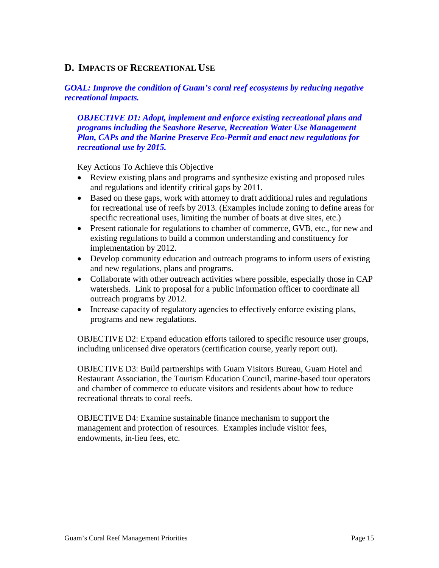# **D. IMPACTS OF RECREATIONAL USE**

### *GOAL: Improve the condition of Guam's coral reef ecosystems by reducing negative recreational impacts.*

*OBJECTIVE D1: Adopt, implement and enforce existing recreational plans and programs including the Seashore Reserve, Recreation Water Use Management Plan, CAPs and the Marine Preserve Eco-Permit and enact new regulations for recreational use by 2015.*

Key Actions To Achieve this Objective

- Review existing plans and programs and synthesize existing and proposed rules and regulations and identify critical gaps by 2011.
- Based on these gaps, work with attorney to draft additional rules and regulations for recreational use of reefs by 2013. (Examples include zoning to define areas for specific recreational uses, limiting the number of boats at dive sites, etc.)
- Present rationale for regulations to chamber of commerce, GVB, etc., for new and existing regulations to build a common understanding and constituency for implementation by 2012.
- Develop community education and outreach programs to inform users of existing and new regulations, plans and programs.
- Collaborate with other outreach activities where possible, especially those in CAP watersheds. Link to proposal for a public information officer to coordinate all outreach programs by 2012.
- Increase capacity of regulatory agencies to effectively enforce existing plans, programs and new regulations.

OBJECTIVE D2: Expand education efforts tailored to specific resource user groups, including unlicensed dive operators (certification course, yearly report out).

OBJECTIVE D3: Build partnerships with Guam Visitors Bureau, Guam Hotel and Restaurant Association, the Tourism Education Council, marine-based tour operators and chamber of commerce to educate visitors and residents about how to reduce recreational threats to coral reefs.

OBJECTIVE D4: Examine sustainable finance mechanism to support the management and protection of resources. Examples include visitor fees, endowments, in-lieu fees, etc.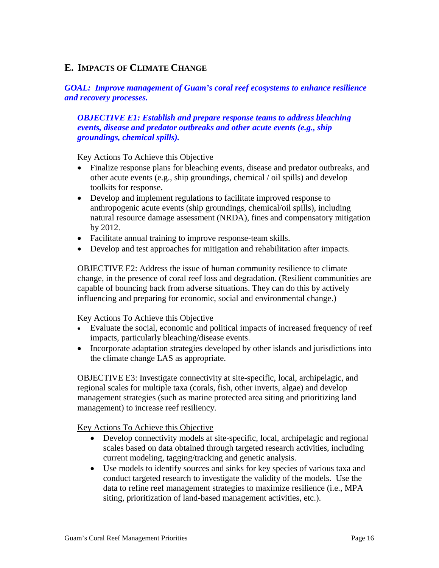# **E. IMPACTS OF CLIMATE CHANGE**

### *GOAL: Improve management of Guam's coral reef ecosystems to enhance resilience and recovery processes.*

*OBJECTIVE E1: Establish and prepare response teams to address bleaching events, disease and predator outbreaks and other acute events (e.g., ship groundings, chemical spills).*

### Key Actions To Achieve this Objective

- Finalize response plans for bleaching events, disease and predator outbreaks, and other acute events (e.g., ship groundings, chemical / oil spills) and develop toolkits for response.
- Develop and implement regulations to facilitate improved response to anthropogenic acute events (ship groundings, chemical/oil spills), including natural resource damage assessment (NRDA), fines and compensatory mitigation by 2012.
- Facilitate annual training to improve response-team skills.
- Develop and test approaches for mitigation and rehabilitation after impacts.

OBJECTIVE E2: Address the issue of human community resilience to climate change, in the presence of coral reef loss and degradation. (Resilient communities are capable of bouncing back from adverse situations. They can do this by actively influencing and preparing for economic, social and environmental change.)

### Key Actions To Achieve this Objective

- Evaluate the social, economic and political impacts of increased frequency of reef impacts, particularly bleaching/disease events.
- Incorporate adaptation strategies developed by other islands and jurisdictions into the climate change LAS as appropriate.

OBJECTIVE E3: Investigate connectivity at site-specific, local, archipelagic, and regional scales for multiple taxa (corals, fish, other inverts, algae) and develop management strategies (such as marine protected area siting and prioritizing land management) to increase reef resiliency.

### Key Actions To Achieve this Objective

- Develop connectivity models at site-specific, local, archipelagic and regional scales based on data obtained through targeted research activities, including current modeling, tagging/tracking and genetic analysis.
- Use models to identify sources and sinks for key species of various taxa and conduct targeted research to investigate the validity of the models. Use the data to refine reef management strategies to maximize resilience (i.e., MPA siting, prioritization of land-based management activities, etc.).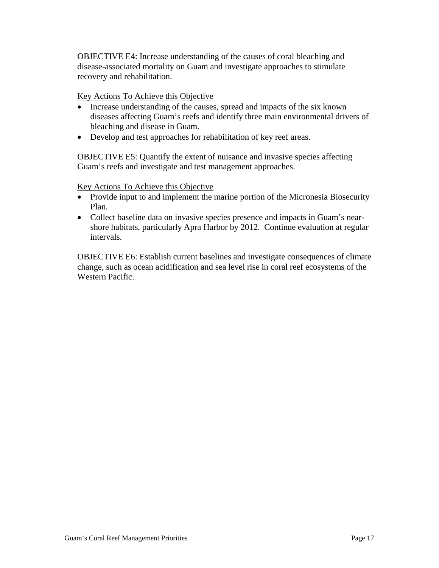OBJECTIVE E4: Increase understanding of the causes of coral bleaching and disease-associated mortality on Guam and investigate approaches to stimulate recovery and rehabilitation.

Key Actions To Achieve this Objective

- Increase understanding of the causes, spread and impacts of the six known diseases affecting Guam's reefs and identify three main environmental drivers of bleaching and disease in Guam.
- Develop and test approaches for rehabilitation of key reef areas.

OBJECTIVE E5: Quantify the extent of nuisance and invasive species affecting Guam's reefs and investigate and test management approaches.

Key Actions To Achieve this Objective

- Provide input to and implement the marine portion of the Micronesia Biosecurity Plan.
- Collect baseline data on invasive species presence and impacts in Guam's nearshore habitats, particularly Apra Harbor by 2012. Continue evaluation at regular intervals.

OBJECTIVE E6: Establish current baselines and investigate consequences of climate change, such as ocean acidification and sea level rise in coral reef ecosystems of the Western Pacific.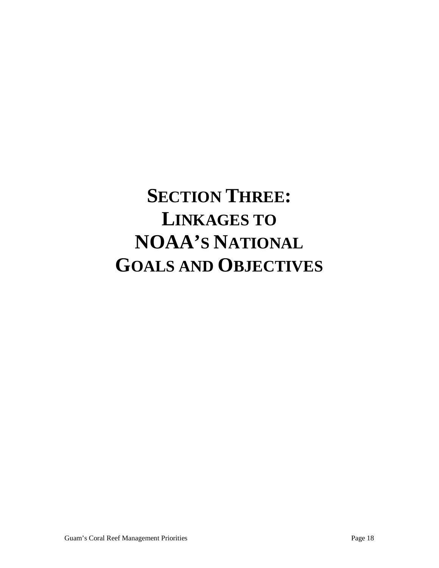# **SECTION THREE: LINKAGES TO NOAA'S NATIONAL GOALS AND OBJECTIVES**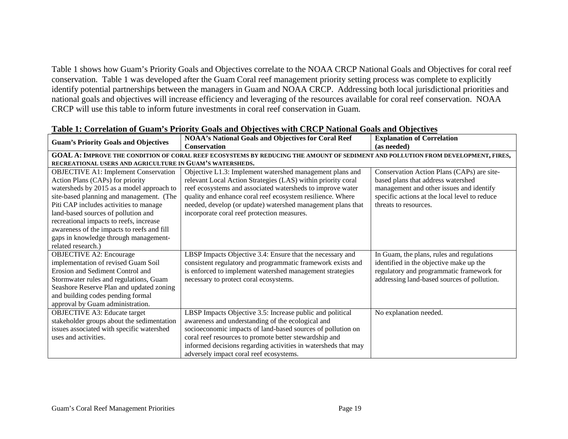Table 1 shows how Guam's Priority Goals and Objectives correlate to the NOAA CRCP National Goals and Objectives for coral reef conservation. Table 1 was developed after the Guam Coral reef management priority setting process was complete to explicitly identify potential partnerships between the managers in Guam and NOAA CRCP. Addressing both local jurisdictional priorities and national goals and objectives will increase efficiency and leveraging of the resources available for coral reef conservation. NOAA CRCP will use this table to inform future investments in coral reef conservation in Guam.

| <b>Guam's Priority Goals and Objectives</b>                                                                                      | <b>NOAA's National Goals and Objectives for Coral Reef</b>     | <b>Explanation of Correlation</b>             |  |  |
|----------------------------------------------------------------------------------------------------------------------------------|----------------------------------------------------------------|-----------------------------------------------|--|--|
|                                                                                                                                  | <b>Conservation</b>                                            | (as needed)                                   |  |  |
| GOAL A: IMPROVE THE CONDITION OF CORAL REEF ECOSYSTEMS BY REDUCING THE AMOUNT OF SEDIMENT AND POLLUTION FROM DEVELOPMENT, FIRES, |                                                                |                                               |  |  |
| RECREATIONAL USERS AND AGRICULTURE IN GUAM'S WATERSHEDS.                                                                         |                                                                |                                               |  |  |
| <b>OBJECTIVE A1: Implement Conservation</b>                                                                                      | Objective L1.3: Implement watershed management plans and       | Conservation Action Plans (CAPs) are site-    |  |  |
| Action Plans (CAPs) for priority                                                                                                 | relevant Local Action Strategies (LAS) within priority coral   | based plans that address watershed            |  |  |
| watersheds by 2015 as a model approach to                                                                                        | reef ecosystems and associated watersheds to improve water     | management and other issues and identify      |  |  |
| site-based planning and management. (The                                                                                         | quality and enhance coral reef ecosystem resilience. Where     | specific actions at the local level to reduce |  |  |
| Piti CAP includes activities to manage                                                                                           | needed, develop (or update) watershed management plans that    | threats to resources.                         |  |  |
| land-based sources of pollution and                                                                                              | incorporate coral reef protection measures.                    |                                               |  |  |
| recreational impacts to reefs, increase                                                                                          |                                                                |                                               |  |  |
| awareness of the impacts to reefs and fill                                                                                       |                                                                |                                               |  |  |
| gaps in knowledge through management-                                                                                            |                                                                |                                               |  |  |
| related research.)                                                                                                               |                                                                |                                               |  |  |
| <b>OBJECTIVE A2: Encourage</b>                                                                                                   | LBSP Impacts Objective 3.4: Ensure that the necessary and      | In Guam, the plans, rules and regulations     |  |  |
| implementation of revised Guam Soil                                                                                              | consistent regulatory and programmatic framework exists and    | identified in the objective make up the       |  |  |
| <b>Erosion and Sediment Control and</b>                                                                                          | is enforced to implement watershed management strategies       | regulatory and programmatic framework for     |  |  |
| Stormwater rules and regulations, Guam                                                                                           | necessary to protect coral ecosystems.                         | addressing land-based sources of pollution.   |  |  |
| Seashore Reserve Plan and updated zoning                                                                                         |                                                                |                                               |  |  |
| and building codes pending formal                                                                                                |                                                                |                                               |  |  |
| approval by Guam administration.                                                                                                 |                                                                |                                               |  |  |
| <b>OBJECTIVE A3: Educate target</b>                                                                                              | LBSP Impacts Objective 3.5: Increase public and political      | No explanation needed.                        |  |  |
| stakeholder groups about the sedimentation                                                                                       | awareness and understanding of the ecological and              |                                               |  |  |
| issues associated with specific watershed                                                                                        | socioeconomic impacts of land-based sources of pollution on    |                                               |  |  |
| uses and activities.                                                                                                             | coral reef resources to promote better stewardship and         |                                               |  |  |
|                                                                                                                                  | informed decisions regarding activities in watersheds that may |                                               |  |  |
|                                                                                                                                  | adversely impact coral reef ecosystems.                        |                                               |  |  |

### **Table 1: Correlation of Guam's Priority Goals and Objectives with CRCP National Goals and Objectives**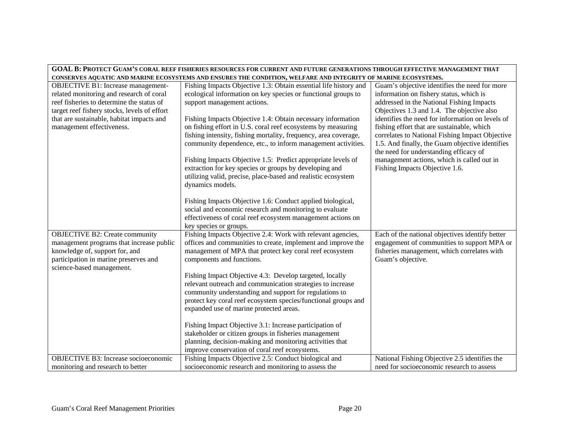| GOAL B: PROTECT GUAM'S CORAL REEF FISHERIES RESOURCES FOR CURRENT AND FUTURE GENERATIONS THROUGH EFFECTIVE MANAGEMENT THAT |                                                                                                                |                                                  |  |  |
|----------------------------------------------------------------------------------------------------------------------------|----------------------------------------------------------------------------------------------------------------|--------------------------------------------------|--|--|
|                                                                                                                            | CONSERVES AQUATIC AND MARINE ECOSYSTEMS AND ENSURES THE CONDITION, WELFARE AND INTEGRITY OF MARINE ECOSYSTEMS. |                                                  |  |  |
| OBJECTIVE B1: Increase management-                                                                                         | Fishing Impacts Objective 1.3: Obtain essential life history and                                               | Guam's objective identifies the need for more    |  |  |
| related monitoring and research of coral                                                                                   | ecological information on key species or functional groups to                                                  | information on fishery status, which is          |  |  |
| reef fisheries to determine the status of                                                                                  | support management actions.                                                                                    | addressed in the National Fishing Impacts        |  |  |
| target reef fishery stocks, levels of effort                                                                               |                                                                                                                | Objectives 1.3 and 1.4. The objective also       |  |  |
| that are sustainable, habitat impacts and                                                                                  | Fishing Impacts Objective 1.4: Obtain necessary information                                                    | identifies the need for information on levels of |  |  |
| management effectiveness.                                                                                                  | on fishing effort in U.S. coral reef ecosystems by measuring                                                   | fishing effort that are sustainable, which       |  |  |
|                                                                                                                            | fishing intensity, fishing mortality, frequency, area coverage,                                                | correlates to National Fishing Impact Objective  |  |  |
|                                                                                                                            | community dependence, etc., to inform management activities.                                                   | 1.5. And finally, the Guam objective identifies  |  |  |
|                                                                                                                            |                                                                                                                | the need for understanding efficacy of           |  |  |
|                                                                                                                            | Fishing Impacts Objective 1.5: Predict appropriate levels of                                                   | management actions, which is called out in       |  |  |
|                                                                                                                            | extraction for key species or groups by developing and                                                         | Fishing Impacts Objective 1.6.                   |  |  |
|                                                                                                                            | utilizing valid, precise, place-based and realistic ecosystem                                                  |                                                  |  |  |
|                                                                                                                            | dynamics models.                                                                                               |                                                  |  |  |
|                                                                                                                            |                                                                                                                |                                                  |  |  |
|                                                                                                                            | Fishing Impacts Objective 1.6: Conduct applied biological,                                                     |                                                  |  |  |
|                                                                                                                            | social and economic research and monitoring to evaluate                                                        |                                                  |  |  |
|                                                                                                                            | effectiveness of coral reef ecosystem management actions on                                                    |                                                  |  |  |
|                                                                                                                            | key species or groups.                                                                                         |                                                  |  |  |
| <b>OBJECTIVE B2: Create community</b>                                                                                      | Fishing Impacts Objective 2.4: Work with relevant agencies,                                                    | Each of the national objectives identify better  |  |  |
| management programs that increase public                                                                                   | offices and communities to create, implement and improve the                                                   | engagement of communities to support MPA or      |  |  |
| knowledge of, support for, and                                                                                             | management of MPA that protect key coral reef ecosystem                                                        | fisheries management, which correlates with      |  |  |
| participation in marine preserves and                                                                                      | components and functions.                                                                                      | Guam's objective.                                |  |  |
| science-based management.                                                                                                  |                                                                                                                |                                                  |  |  |
|                                                                                                                            | Fishing Impact Objective 4.3: Develop targeted, locally                                                        |                                                  |  |  |
|                                                                                                                            | relevant outreach and communication strategies to increase                                                     |                                                  |  |  |
|                                                                                                                            | community understanding and support for regulations to                                                         |                                                  |  |  |
|                                                                                                                            | protect key coral reef ecosystem species/functional groups and                                                 |                                                  |  |  |
|                                                                                                                            | expanded use of marine protected areas.                                                                        |                                                  |  |  |
|                                                                                                                            |                                                                                                                |                                                  |  |  |
|                                                                                                                            | Fishing Impact Objective 3.1: Increase participation of                                                        |                                                  |  |  |
|                                                                                                                            | stakeholder or citizen groups in fisheries management                                                          |                                                  |  |  |
|                                                                                                                            | planning, decision-making and monitoring activities that                                                       |                                                  |  |  |
|                                                                                                                            | improve conservation of coral reef ecosystems.                                                                 |                                                  |  |  |
| <b>OBJECTIVE B3: Increase socioeconomic</b>                                                                                | Fishing Impacts Objective 2.5: Conduct biological and                                                          | National Fishing Objective 2.5 identifies the    |  |  |
| monitoring and research to better                                                                                          | socioeconomic research and monitoring to assess the                                                            | need for socioeconomic research to assess        |  |  |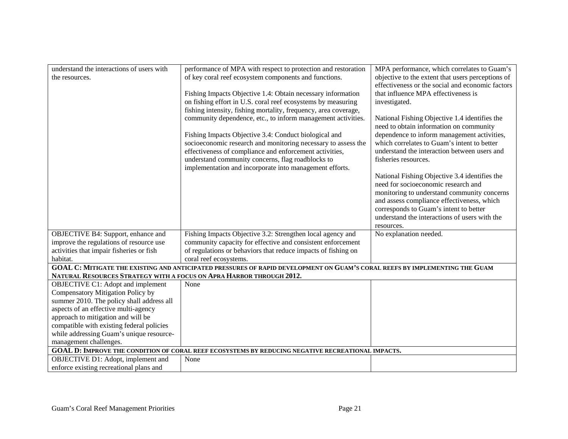| understand the interactions of users with                                                                                   | performance of MPA with respect to protection and restoration   | MPA performance, which correlates to Guam's                                              |  |  |
|-----------------------------------------------------------------------------------------------------------------------------|-----------------------------------------------------------------|------------------------------------------------------------------------------------------|--|--|
| the resources.                                                                                                              | of key coral reef ecosystem components and functions.           | objective to the extent that users perceptions of                                        |  |  |
|                                                                                                                             |                                                                 | effectiveness or the social and economic factors                                         |  |  |
|                                                                                                                             | Fishing Impacts Objective 1.4: Obtain necessary information     | that influence MPA effectiveness is                                                      |  |  |
|                                                                                                                             | on fishing effort in U.S. coral reef ecosystems by measuring    | investigated.                                                                            |  |  |
|                                                                                                                             | fishing intensity, fishing mortality, frequency, area coverage, |                                                                                          |  |  |
|                                                                                                                             | community dependence, etc., to inform management activities.    | National Fishing Objective 1.4 identifies the<br>need to obtain information on community |  |  |
|                                                                                                                             | Fishing Impacts Objective 3.4: Conduct biological and           | dependence to inform management activities,                                              |  |  |
|                                                                                                                             | socioeconomic research and monitoring necessary to assess the   | which correlates to Guam's intent to better                                              |  |  |
|                                                                                                                             | effectiveness of compliance and enforcement activities,         | understand the interaction between users and                                             |  |  |
|                                                                                                                             | understand community concerns, flag roadblocks to               | fisheries resources.                                                                     |  |  |
|                                                                                                                             | implementation and incorporate into management efforts.         |                                                                                          |  |  |
|                                                                                                                             |                                                                 | National Fishing Objective 3.4 identifies the                                            |  |  |
|                                                                                                                             |                                                                 | need for socioeconomic research and                                                      |  |  |
|                                                                                                                             |                                                                 | monitoring to understand community concerns                                              |  |  |
|                                                                                                                             |                                                                 | and assess compliance effectiveness, which                                               |  |  |
|                                                                                                                             |                                                                 | corresponds to Guam's intent to better                                                   |  |  |
|                                                                                                                             |                                                                 | understand the interactions of users with the                                            |  |  |
|                                                                                                                             |                                                                 | resources.                                                                               |  |  |
| OBJECTIVE B4: Support, enhance and                                                                                          | Fishing Impacts Objective 3.2: Strengthen local agency and      | No explanation needed.                                                                   |  |  |
| improve the regulations of resource use                                                                                     | community capacity for effective and consistent enforcement     |                                                                                          |  |  |
|                                                                                                                             |                                                                 |                                                                                          |  |  |
| activities that impair fisheries or fish                                                                                    | of regulations or behaviors that reduce impacts of fishing on   |                                                                                          |  |  |
| habitat.                                                                                                                    | coral reef ecosystems.                                          |                                                                                          |  |  |
| GOAL C: MITIGATE THE EXISTING AND ANTICIPATED PRESSURES OF RAPID DEVELOPMENT ON GUAM'S CORAL REEFS BY IMPLEMENTING THE GUAM |                                                                 |                                                                                          |  |  |
| NATURAL RESOURCES STRATEGY WITH A FOCUS ON APRA HARBOR THROUGH 2012.                                                        |                                                                 |                                                                                          |  |  |
| <b>OBJECTIVE C1:</b> Adopt and implement                                                                                    | None                                                            |                                                                                          |  |  |
| Compensatory Mitigation Policy by                                                                                           |                                                                 |                                                                                          |  |  |
| summer 2010. The policy shall address all                                                                                   |                                                                 |                                                                                          |  |  |
| aspects of an effective multi-agency                                                                                        |                                                                 |                                                                                          |  |  |
| approach to mitigation and will be                                                                                          |                                                                 |                                                                                          |  |  |
| compatible with existing federal policies                                                                                   |                                                                 |                                                                                          |  |  |
| while addressing Guam's unique resource-                                                                                    |                                                                 |                                                                                          |  |  |
| management challenges.                                                                                                      |                                                                 |                                                                                          |  |  |
| GOAL D: IMPROVE THE CONDITION OF CORAL REEF ECOSYSTEMS BY REDUCING NEGATIVE RECREATIONAL IMPACTS.                           |                                                                 |                                                                                          |  |  |
| OBJECTIVE D1: Adopt, implement and                                                                                          | None                                                            |                                                                                          |  |  |
| enforce existing recreational plans and                                                                                     |                                                                 |                                                                                          |  |  |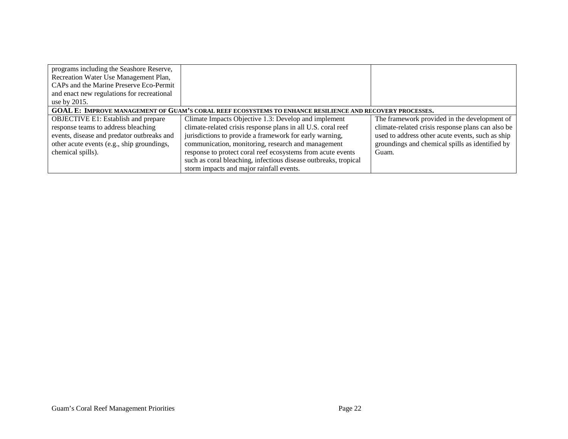| programs including the Seashore Reserve,                                                                 |                                                                 |                                                   |  |  |
|----------------------------------------------------------------------------------------------------------|-----------------------------------------------------------------|---------------------------------------------------|--|--|
| Recreation Water Use Management Plan,                                                                    |                                                                 |                                                   |  |  |
| CAPs and the Marine Preserve Eco-Permit                                                                  |                                                                 |                                                   |  |  |
| and enact new regulations for recreational                                                               |                                                                 |                                                   |  |  |
| use by 2015.                                                                                             |                                                                 |                                                   |  |  |
| GOAL E: IMPROVE MANAGEMENT OF GUAM'S CORAL REEF ECOSYSTEMS TO ENHANCE RESILIENCE AND RECOVERY PROCESSES. |                                                                 |                                                   |  |  |
| OBJECTIVE E1: Establish and prepare                                                                      | Climate Impacts Objective 1.3: Develop and implement            | The framework provided in the development of      |  |  |
| response teams to address bleaching                                                                      | climate-related crisis response plans in all U.S. coral reef    | climate-related crisis response plans can also be |  |  |
| events, disease and predator outbreaks and                                                               | jurisdictions to provide a framework for early warning,         | used to address other acute events, such as ship  |  |  |
| other acute events (e.g., ship groundings,                                                               | communication, monitoring, research and management              | groundings and chemical spills as identified by   |  |  |
| chemical spills).                                                                                        | response to protect coral reef ecosystems from acute events     | Guam.                                             |  |  |
|                                                                                                          | such as coral bleaching, infectious disease outbreaks, tropical |                                                   |  |  |
|                                                                                                          | storm impacts and major rainfall events.                        |                                                   |  |  |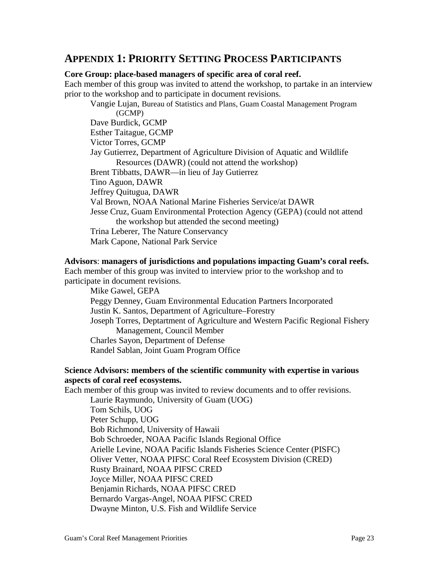# **APPENDIX 1: PRIORITY SETTING PROCESS PARTICIPANTS**

### **Core Group: place-based managers of specific area of coral reef.**

Each member of this group was invited to attend the workshop, to partake in an interview prior to the workshop and to participate in document revisions.

Vangie Lujan, Bureau of Statistics and Plans, Guam Coastal Management Program (GCMP) Dave Burdick, GCMP Esther Taitague, GCMP Victor Torres, GCMP Jay Gutierrez, Department of Agriculture Division of Aquatic and Wildlife Resources (DAWR) (could not attend the workshop) Brent Tibbatts, DAWR—in lieu of Jay Gutierrez Tino Aguon, DAWR Jeffrey Quitugua, DAWR Val Brown, NOAA National Marine Fisheries Service/at DAWR Jesse Cruz, Guam Environmental Protection Agency (GEPA) (could not attend the workshop but attended the second meeting) Trina Leberer, The Nature Conservancy Mark Capone, National Park Service

#### **Advisors**: **managers of jurisdictions and populations impacting Guam's coral reefs.**

Each member of this group was invited to interview prior to the workshop and to participate in document revisions.

Mike Gawel, GEPA Peggy Denney, Guam Environmental Education Partners Incorporated Justin K. Santos, Department of Agriculture–Forestry Joseph Torres, Deptartment of Agriculture and Western Pacific Regional Fishery Management, Council Member Charles Sayon, Department of Defense Randel Sablan, Joint Guam Program Office

### **Science Advisors: members of the scientific community with expertise in various aspects of coral reef ecosystems.**

Each member of this group was invited to review documents and to offer revisions. Laurie Raymundo, University of Guam (UOG)

Tom Schils, UOG Peter Schupp, UOG Bob Richmond, University of Hawaii Bob Schroeder, NOAA Pacific Islands Regional Office Arielle Levine, NOAA Pacific Islands Fisheries Science Center (PISFC) Oliver Vetter, NOAA PIFSC Coral Reef Ecosystem Division (CRED) Rusty Brainard, NOAA PIFSC CRED Joyce Miller, NOAA PIFSC CRED Benjamin Richards, NOAA PIFSC CRED Bernardo Vargas-Angel, NOAA PIFSC CRED Dwayne Minton, U.S. Fish and Wildlife Service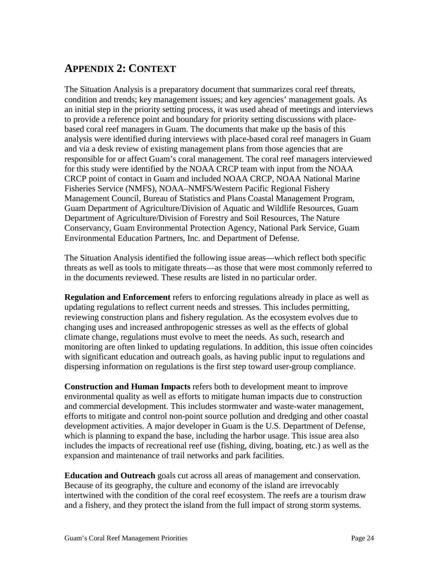# **APPENDIX 2: CONTEXT**

The Situation Analysis is a preparatory document that summarizes coral reef threats, condition and trends; key management issues; and key agencies' management goals. As an initial step in the priority setting process, it was used ahead of meetings and interviews to provide a reference point and boundary for priority setting discussions with placebased coral reef managers in Guam. The documents that make up the basis of this analysis were identified during interviews with place-based coral reef managers in Guam and via a desk review of existing management plans from those agencies that are responsible for or affect Guam's coral management. The coral reef managers interviewed for this study were identified by the NOAA CRCP team with input from the NOAA CRCP point of contact in Guam and included NOAA CRCP, NOAA National Marine Fisheries Service (NMFS), NOAA–NMFS/Western Pacific Regional Fishery Management Council, Bureau of Statistics and Plans Coastal Management Program, Guam Department of Agriculture/Division of Aquatic and Wildlife Resources, Guam Department of Agriculture/Division of Forestry and Soil Resources, The Nature Conservancy, Guam Environmental Protection Agency, National Park Service, Guam Environmental Education Partners, Inc. and Department of Defense.

The Situation Analysis identified the following issue areas—which reflect both specific threats as well as tools to mitigate threats—as those that were most commonly referred to in the documents reviewed. These results are listed in no particular order.

**Regulation and Enforcement** refers to enforcing regulations already in place as well as updating regulations to reflect current needs and stresses. This includes permitting, reviewing construction plans and fishery regulation. As the ecosystem evolves due to changing uses and increased anthropogenic stresses as well as the effects of global climate change, regulations must evolve to meet the needs. As such, research and monitoring are often linked to updating regulations. In addition, this issue often coincides with significant education and outreach goals, as having public input to regulations and dispersing information on regulations is the first step toward user-group compliance.

**Construction and Human Impacts** refers both to development meant to improve environmental quality as well as efforts to mitigate human impacts due to construction and commercial development. This includes stormwater and waste-water management, efforts to mitigate and control non-point source pollution and dredging and other coastal development activities. A major developer in Guam is the U.S. Department of Defense, which is planning to expand the base, including the harbor usage. This issue area also includes the impacts of recreational reef use (fishing, diving, boating, etc.) as well as the expansion and maintenance of trail networks and park facilities.

**Education and Outreach** goals cut across all areas of management and conservation. Because of its geography, the culture and economy of the island are irrevocably intertwined with the condition of the coral reef ecosystem. The reefs are a tourism draw and a fishery, and they protect the island from the full impact of strong storm systems.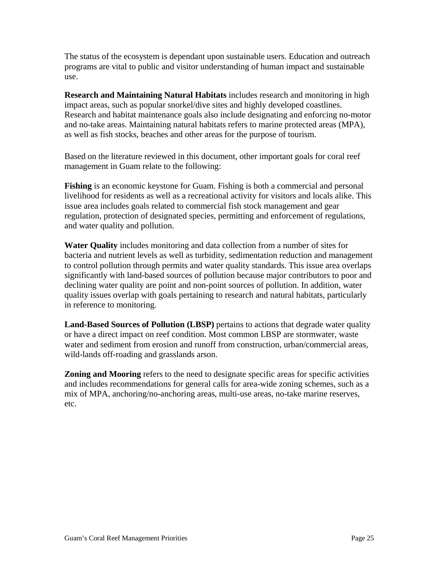The status of the ecosystem is dependant upon sustainable users. Education and outreach programs are vital to public and visitor understanding of human impact and sustainable use.

**Research and Maintaining Natural Habitats** includes research and monitoring in high impact areas, such as popular snorkel/dive sites and highly developed coastlines. Research and habitat maintenance goals also include designating and enforcing no-motor and no-take areas. Maintaining natural habitats refers to marine protected areas (MPA), as well as fish stocks, beaches and other areas for the purpose of tourism.

Based on the literature reviewed in this document, other important goals for coral reef management in Guam relate to the following:

**Fishing** is an economic keystone for Guam. Fishing is both a commercial and personal livelihood for residents as well as a recreational activity for visitors and locals alike. This issue area includes goals related to commercial fish stock management and gear regulation, protection of designated species, permitting and enforcement of regulations, and water quality and pollution.

**Water Quality** includes monitoring and data collection from a number of sites for bacteria and nutrient levels as well as turbidity, sedimentation reduction and management to control pollution through permits and water quality standards. This issue area overlaps significantly with land-based sources of pollution because major contributors to poor and declining water quality are point and non-point sources of pollution. In addition, water quality issues overlap with goals pertaining to research and natural habitats, particularly in reference to monitoring.

**Land-Based Sources of Pollution (LBSP)** pertains to actions that degrade water quality or have a direct impact on reef condition. Most common LBSP are stormwater, waste water and sediment from erosion and runoff from construction, urban/commercial areas, wild-lands off-roading and grasslands arson.

**Zoning and Mooring** refers to the need to designate specific areas for specific activities and includes recommendations for general calls for area-wide zoning schemes, such as a mix of MPA, anchoring/no-anchoring areas, multi-use areas, no-take marine reserves, etc.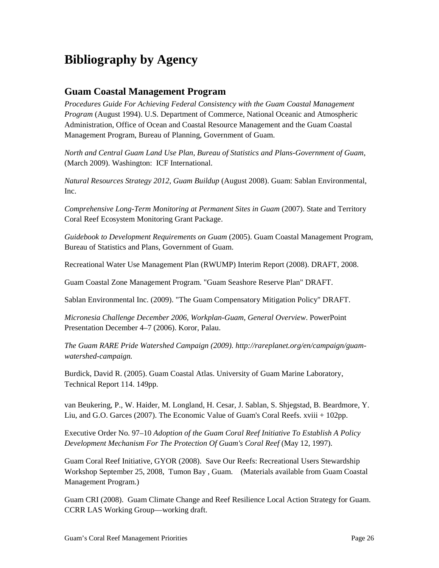# **Bibliography by Agency**

# **Guam Coastal Management Program**

*Procedures Guide For Achieving Federal Consistency with the Guam Coastal Management Program* (August 1994). U.S. Department of Commerce, National Oceanic and Atmospheric Administration, Office of Ocean and Coastal Resource Management and the Guam Coastal Management Program, Bureau of Planning, Government of Guam.

*North and Central Guam Land Use Plan, Bureau of Statistics and Plans-Government of Guam*, (March 2009). Washington: ICF International.

*Natural Resources Strategy 2012, Guam Buildup* (August 2008). Guam: Sablan Environmental, Inc.

*Comprehensive Long-Term Monitoring at Permanent Sites in Guam* (2007). State and Territory Coral Reef Ecosystem Monitoring Grant Package.

*Guidebook to Development Requirements on Guam* (2005). Guam Coastal Management Program, Bureau of Statistics and Plans, Government of Guam.

Recreational Water Use Management Plan (RWUMP) Interim Report (2008). DRAFT, 2008.

Guam Coastal Zone Management Program. "Guam Seashore Reserve Plan" DRAFT.

Sablan Environmental Inc. (2009). "The Guam Compensatory Mitigation Policy" DRAFT.

*Micronesia Challenge December 2006, Workplan-Guam, General Overview*. PowerPoint Presentation December 4–7 (2006). Koror, Palau.

*The Guam RARE Pride Watershed Campaign (2009). http://rareplanet.org/en/campaign/guamwatershed-campaign.*

Burdick, David R. (2005). Guam Coastal Atlas. University of Guam Marine Laboratory, Technical Report 114. 149pp.

van Beukering, P., W. Haider, M. Longland, H. Cesar, J. Sablan, S. Shjegstad, B. Beardmore, Y. Liu, and G.O. Garces (2007). The Economic Value of Guam's Coral Reefs. xviii + 102pp.

Executive Order No. 97–10 *Adoption of the Guam Coral Reef Initiative To Establish A Policy Development Mechanism For The Protection Of Guam's Coral Reef* (May 12, 1997).

Guam Coral Reef Initiative, GYOR (2008). Save Our Reefs: Recreational Users Stewardship Workshop September 25, 2008, Tumon Bay , Guam. (Materials available from Guam Coastal Management Program.)

Guam CRI (2008). Guam Climate Change and Reef Resilience Local Action Strategy for Guam. CCRR LAS Working Group—working draft.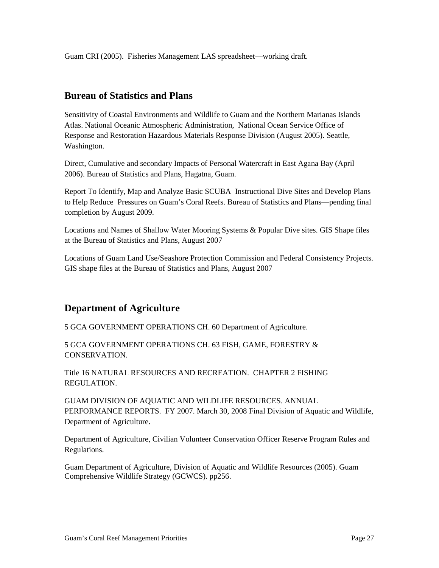Guam CRI (2005). Fisheries Management LAS spreadsheet—working draft.

# **Bureau of Statistics and Plans**

Sensitivity of Coastal Environments and Wildlife to Guam and the Northern Marianas Islands Atlas. National Oceanic Atmospheric Administration, National Ocean Service Office of Response and Restoration Hazardous Materials Response Division (August 2005). Seattle, Washington.

Direct, Cumulative and secondary Impacts of Personal Watercraft in East Agana Bay (April 2006). Bureau of Statistics and Plans, Hagatna, Guam.

Report To Identify, Map and Analyze Basic SCUBA Instructional Dive Sites and Develop Plans to Help Reduce Pressures on Guam's Coral Reefs. Bureau of Statistics and Plans—pending final completion by August 2009.

Locations and Names of Shallow Water Mooring Systems & Popular Dive sites. GIS Shape files at the Bureau of Statistics and Plans, August 2007

Locations of Guam Land Use/Seashore Protection Commission and Federal Consistency Projects. GIS shape files at the Bureau of Statistics and Plans, August 2007

# **Department of Agriculture**

5 GCA GOVERNMENT OPERATIONS CH. 60 Department of Agriculture.

5 GCA GOVERNMENT OPERATIONS CH. 63 FISH, GAME, FORESTRY & CONSERVATION.

Title 16 NATURAL RESOURCES AND RECREATION. CHAPTER 2 FISHING REGULATION.

GUAM DIVISION OF AQUATIC AND WILDLIFE RESOURCES. ANNUAL PERFORMANCE REPORTS. FY 2007. March 30, 2008 Final Division of Aquatic and Wildlife, Department of Agriculture.

Department of Agriculture, Civilian Volunteer Conservation Officer Reserve Program Rules and Regulations.

Guam Department of Agriculture, Division of Aquatic and Wildlife Resources (2005). Guam Comprehensive Wildlife Strategy (GCWCS). pp256.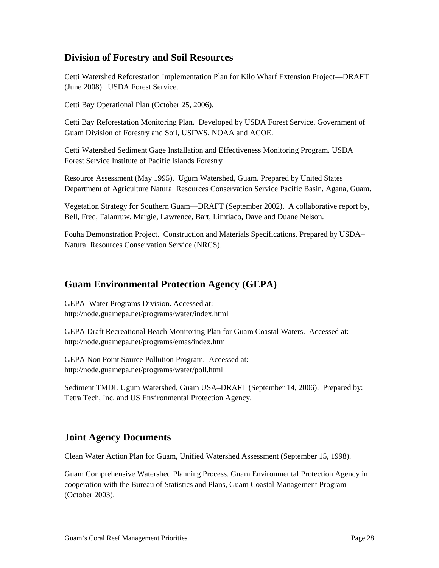# **Division of Forestry and Soil Resources**

Cetti Watershed Reforestation Implementation Plan for Kilo Wharf Extension Project—DRAFT (June 2008). USDA Forest Service.

Cetti Bay Operational Plan (October 25, 2006).

Cetti Bay Reforestation Monitoring Plan. Developed by USDA Forest Service. Government of Guam Division of Forestry and Soil, USFWS, NOAA and ACOE.

Cetti Watershed Sediment Gage Installation and Effectiveness Monitoring Program. USDA Forest Service Institute of Pacific Islands Forestry

Resource Assessment (May 1995). Ugum Watershed, Guam. Prepared by United States Department of Agriculture Natural Resources Conservation Service Pacific Basin, Agana, Guam.

Vegetation Strategy for Southern Guam—DRAFT (September 2002). A collaborative report by, Bell, Fred, Falanruw, Margie, Lawrence, Bart, Limtiaco, Dave and Duane Nelson.

Fouha Demonstration Project. Construction and Materials Specifications. Prepared by USDA– Natural Resources Conservation Service (NRCS).

## **Guam Environmental Protection Agency (GEPA)**

GEPA–Water Programs Division. Accessed at: http://node.guamepa.net/programs/water/index.html

GEPA Draft Recreational Beach Monitoring Plan for Guam Coastal Waters. Accessed at: http://node.guamepa.net/programs/emas/index.html

GEPA Non Point Source Pollution Program. Accessed at: http://node.guamepa.net/programs/water/poll.html

Sediment TMDL Ugum Watershed, Guam USA–DRAFT (September 14, 2006). Prepared by: Tetra Tech, Inc. and US Environmental Protection Agency.

# **Joint Agency Documents**

Clean Water Action Plan for Guam, Unified Watershed Assessment (September 15, 1998).

Guam Comprehensive Watershed Planning Process. Guam Environmental Protection Agency in cooperation with the Bureau of Statistics and Plans, Guam Coastal Management Program (October 2003).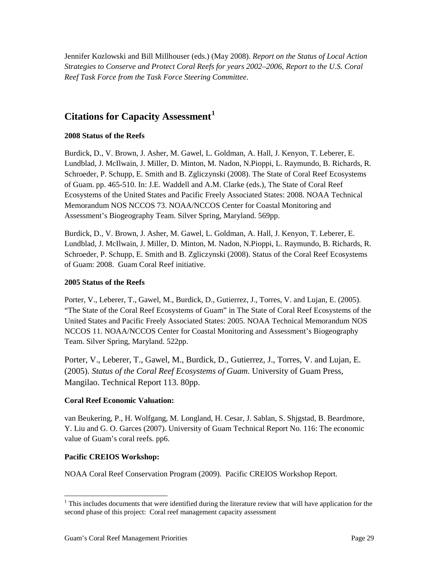Jennifer Kozlowski and Bill Millhouser (eds.) (May 2008). *Report on the Status of Local Action Strategies to Conserve and Protect Coral Reefs for years 2002–2006, Report to the U.S. Coral Reef Task Force from the Task Force Steering Committee.*

# **Citations for Capacity Assessment[1](#page-28-0)**

### **2008 Status of the Reefs**

Burdick, D., V. Brown, J. Asher, M. Gawel, L. Goldman, A. Hall, J. Kenyon, T. Leberer, E. Lundblad, J. McIlwain, J. Miller, D. Minton, M. Nadon, N.Pioppi, L. Raymundo, B. Richards, R. Schroeder, P. Schupp, E. Smith and B. Zgliczynski (2008). The State of Coral Reef Ecosystems of Guam. pp. 465-510. In: J.E. Waddell and A.M. Clarke (eds.), The State of Coral Reef Ecosystems of the United States and Pacific Freely Associated States: 2008. NOAA Technical Memorandum NOS NCCOS 73. NOAA/NCCOS Center for Coastal Monitoring and Assessment's Biogeography Team. Silver Spring, Maryland. 569pp.

Burdick, D., V. Brown, J. Asher, M. Gawel, L. Goldman, A. Hall, J. Kenyon, T. Leberer, E. Lundblad, J. McIlwain, J. Miller, D. Minton, M. Nadon, N.Pioppi, L. Raymundo, B. Richards, R. Schroeder, P. Schupp, E. Smith and B. Zgliczynski (2008). Status of the Coral Reef Ecosystems of Guam: 2008. Guam Coral Reef initiative.

#### **2005 Status of the Reefs**

Porter, V., Leberer, T., Gawel, M., Burdick, D., Gutierrez, J., Torres, V. and Lujan, E. (2005). "The State of the Coral Reef Ecosystems of Guam" in The State of Coral Reef Ecosystems of the United States and Pacific Freely Associated States: 2005. NOAA Technical Memorandum NOS NCCOS 11. NOAA/NCCOS Center for Coastal Monitoring and Assessment's Biogeography Team. Silver Spring, Maryland. 522pp.

Porter, V., Leberer, T., Gawel, M., Burdick, D., Gutierrez, J., Torres, V. and Lujan, E. (2005). *Status of the Coral Reef Ecosystems of Guam.* University of Guam Press, Mangilao. Technical Report 113. 80pp.

### **Coral Reef Economic Valuation:**

van Beukering, P., H. Wolfgang, M. Longland, H. Cesar, J. Sablan, S. Shjgstad, B. Beardmore, Y. Liu and G. O. Garces (2007). University of Guam Technical Report No. 116: The economic value of Guam's coral reefs. pp6.

### **Pacific CREIOS Workshop:**

NOAA Coral Reef Conservation Program (2009). Pacific CREIOS Workshop Report.

<span id="page-28-0"></span><sup>&</sup>lt;sup>1</sup> This includes documents that were identified during the literature review that will have application for the second phase of this project: Coral reef management capacity assessment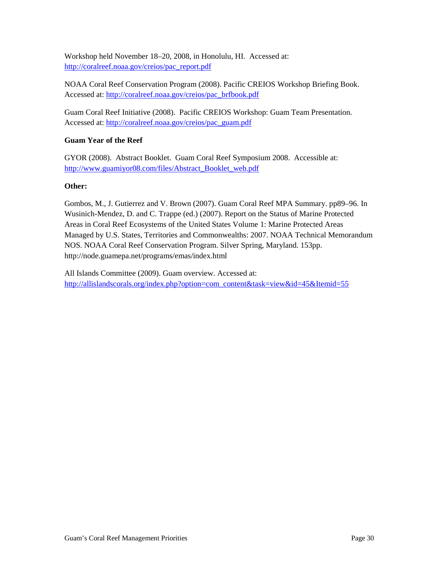Workshop held November 18–20, 2008, in Honolulu, HI. Accessed at: [http://coralreef.noaa.gov/creios/pac\\_report.pdf](http://coralreef.noaa.gov/creios/pac_report.pdf)

NOAA Coral Reef Conservation Program (2008). Pacific CREIOS Workshop Briefing Book. Accessed at: [http://coralreef.noaa.gov/creios/pac\\_brfbook.pdf](http://coralreef.noaa.gov/creios/pac_brfbook.pdf)

Guam Coral Reef Initiative (2008). Pacific CREIOS Workshop: Guam Team Presentation. Accessed at: [http://coralreef.noaa.gov/creios/pac\\_guam.pdf](http://coralreef.noaa.gov/creios/pac_guam.pdf)

### **Guam Year of the Reef**

GYOR (2008). Abstract Booklet. Guam Coral Reef Symposium 2008. Accessible at: [http://www.guamiyor08.com/files/Abstract\\_Booklet\\_web.pdf](http://www.guamiyor08.com/files/Abstract_Booklet_web.pdf)

#### **Other:**

Gombos, M., J. Gutierrez and V. Brown (2007). Guam Coral Reef MPA Summary. pp89–96. In Wusinich-Mendez, D. and C. Trappe (ed.) (2007). Report on the Status of Marine Protected Areas in Coral Reef Ecosystems of the United States Volume 1: Marine Protected Areas Managed by U.S. States, Territories and Commonwealths: 2007. NOAA Technical Memorandum NOS. NOAA Coral Reef Conservation Program. Silver Spring, Maryland. 153pp. http://node.guamepa.net/programs/emas/index.html

All Islands Committee (2009). Guam overview. Accessed at: [http://allislandscorals.org/index.php?option=com\\_content&task=view&id=45&Itemid=55](http://allislandscorals.org/index.php?option=com_content&task=view&id=45&Itemid=55)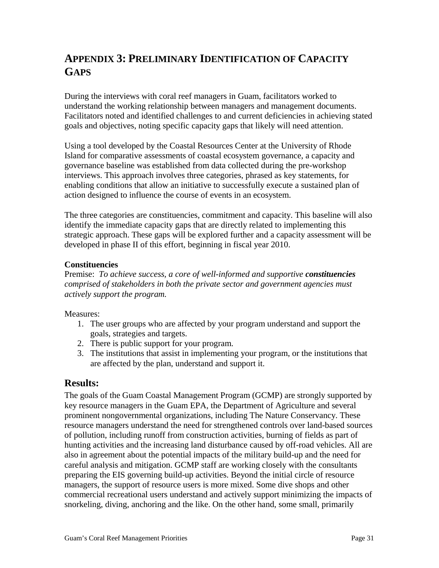# **APPENDIX 3: PRELIMINARY IDENTIFICATION OF CAPACITY GAPS**

During the interviews with coral reef managers in Guam, facilitators worked to understand the working relationship between managers and management documents. Facilitators noted and identified challenges to and current deficiencies in achieving stated goals and objectives, noting specific capacity gaps that likely will need attention.

Using a tool developed by the Coastal Resources Center at the University of Rhode Island for comparative assessments of coastal ecosystem governance, a capacity and governance baseline was established from data collected during the pre-workshop interviews. This approach involves three categories, phrased as key statements, for enabling conditions that allow an initiative to successfully execute a sustained plan of action designed to influence the course of events in an ecosystem.

The three categories are constituencies, commitment and capacity. This baseline will also identify the immediate capacity gaps that are directly related to implementing this strategic approach. These gaps will be explored further and a capacity assessment will be developed in phase II of this effort, beginning in fiscal year 2010.

### **Constituencies**

Premise: *To achieve success, a core of well-informed and supportive constituencies comprised of stakeholders in both the private sector and government agencies must actively support the program.*

### Measures:

- 1. The user groups who are affected by your program understand and support the goals, strategies and targets.
- 2. There is public support for your program.
- 3. The institutions that assist in implementing your program, or the institutions that are affected by the plan, understand and support it.

### **Results:**

The goals of the Guam Coastal Management Program (GCMP) are strongly supported by key resource managers in the Guam EPA, the Department of Agriculture and several prominent nongovernmental organizations, including The Nature Conservancy. These resource managers understand the need for strengthened controls over land-based sources of pollution, including runoff from construction activities, burning of fields as part of hunting activities and the increasing land disturbance caused by off-road vehicles. All are also in agreement about the potential impacts of the military build-up and the need for careful analysis and mitigation. GCMP staff are working closely with the consultants preparing the EIS governing build-up activities. Beyond the initial circle of resource managers, the support of resource users is more mixed. Some dive shops and other commercial recreational users understand and actively support minimizing the impacts of snorkeling, diving, anchoring and the like. On the other hand, some small, primarily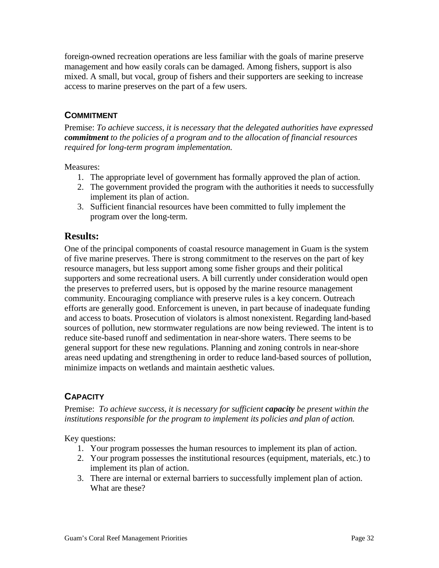foreign-owned recreation operations are less familiar with the goals of marine preserve management and how easily corals can be damaged. Among fishers, support is also mixed. A small, but vocal, group of fishers and their supporters are seeking to increase access to marine preserves on the part of a few users.

# **COMMITMENT**

Premise: *To achieve success, it is necessary that the delegated authorities have expressed commitment to the policies of a program and to the allocation of financial resources required for long-term program implementation.*

Measures:

- 1. The appropriate level of government has formally approved the plan of action.
- 2. The government provided the program with the authorities it needs to successfully implement its plan of action.
- 3. Sufficient financial resources have been committed to fully implement the program over the long-term.

### **Results:**

One of the principal components of coastal resource management in Guam is the system of five marine preserves. There is strong commitment to the reserves on the part of key resource managers, but less support among some fisher groups and their political supporters and some recreational users. A bill currently under consideration would open the preserves to preferred users, but is opposed by the marine resource management community. Encouraging compliance with preserve rules is a key concern. Outreach efforts are generally good. Enforcement is uneven, in part because of inadequate funding and access to boats. Prosecution of violators is almost nonexistent. Regarding land-based sources of pollution, new stormwater regulations are now being reviewed. The intent is to reduce site-based runoff and sedimentation in near-shore waters. There seems to be general support for these new regulations. Planning and zoning controls in near-shore areas need updating and strengthening in order to reduce land-based sources of pollution, minimize impacts on wetlands and maintain aesthetic values.

# **CAPACITY**

Premise: *To achieve success, it is necessary for sufficient capacity be present within the institutions responsible for the program to implement its policies and plan of action.*

Key questions:

- 1. Your program possesses the human resources to implement its plan of action.
- 2. Your program possesses the institutional resources (equipment, materials, etc.) to implement its plan of action.
- 3. There are internal or external barriers to successfully implement plan of action. What are these?